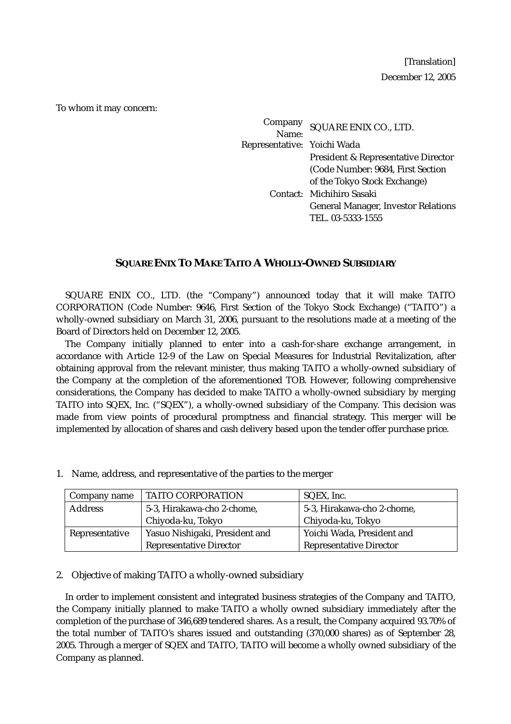[Translation] December 12, 2005

To whom it may concern:

Company mpany SQUARE ENIX CO., LTD.<br>Name: Representative: Yoichi Wada President & Representative Director (Code Number: 9684, First Section of the Tokyo Stock Exchange) Contact: Michihiro Sasaki General Manager, Investor Relations TEL. 03-5333-1555

# **SQUARE ENIX TO MAKE TAITO A WHOLLY-OWNED SUBSIDIARY**

SQUARE ENIX CO., LTD. (the "Company") announced today that it will make TAITO CORPORATION (Code Number: 9646, First Section of the Tokyo Stock Exchange) ("TAITO") a wholly-owned subsidiary on March 31, 2006, pursuant to the resolutions made at a meeting of the Board of Directors held on December 12, 2005.

The Company initially planned to enter into a cash-for-share exchange arrangement, in accordance with Article 12-9 of the Law on Special Measures for Industrial Revitalization, after obtaining approval from the relevant minister, thus making TAITO a wholly-owned subsidiary of the Company at the completion of the aforementioned TOB. However, following comprehensive considerations, the Company has decided to make TAITO a wholly-owned subsidiary by merging TAITO into SQEX, Inc. ("SQEX"), a wholly-owned subsidiary of the Company. This decision was made from view points of procedural promptness and financial strategy. This merger will be implemented by allocation of shares and cash delivery based upon the tender offer purchase price.

| Company name   | <b>TAITO CORPORATION</b>       | SQEX, Inc.                     |  |
|----------------|--------------------------------|--------------------------------|--|
| <b>Address</b> | 5-3, Hirakawa-cho 2-chome,     | 5-3, Hirakawa-cho 2-chome,     |  |
|                | Chiyoda-ku, Tokyo              | Chiyoda-ku, Tokyo              |  |
| Representative | Yasuo Nishigaki, President and | Yoichi Wada, President and     |  |
|                | <b>Representative Director</b> | <b>Representative Director</b> |  |

1. Name, address, and representative of the parties to the merger

#### 2. Objective of making TAITO a wholly-owned subsidiary

In order to implement consistent and integrated business strategies of the Company and TAITO, the Company initially planned to make TAITO a wholly owned subsidiary immediately after the completion of the purchase of 346,689 tendered shares. As a result, the Company acquired 93.70% of the total number of TAITO's shares issued and outstanding (370,000 shares) as of September 28, 2005. Through a merger of SQEX and TAITO, TAITO will become a wholly owned subsidiary of the Company as planned.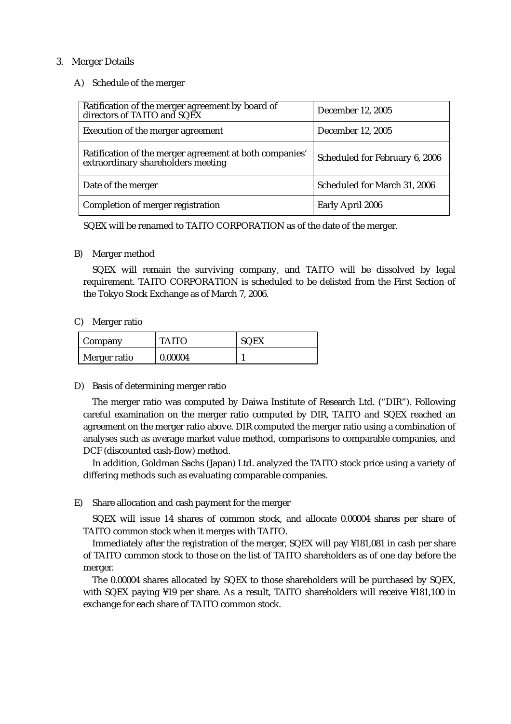## 3. Merger Details

### A) Schedule of the merger

| Ratification of the merger agreement by board of<br>directors of TAITO and SQEX               | December 12, 2005              |
|-----------------------------------------------------------------------------------------------|--------------------------------|
| Execution of the merger agreement                                                             | December 12, 2005              |
| Ratification of the merger agreement at both companies'<br>extraordinary shareholders meeting | Scheduled for February 6, 2006 |
| Date of the merger                                                                            | Scheduled for March 31, 2006   |
| Completion of merger registration                                                             | Early April 2006               |

SQEX will be renamed to TAITO CORPORATION as of the date of the merger.

## B) Merger method

SQEX will remain the surviving company, and TAITO will be dissolved by legal requirement. TAITO CORPORATION is scheduled to be delisted from the First Section of the Tokyo Stock Exchange as of March 7, 2006.

#### C) Merger ratio

| Company      | <b>TAITO</b> | <b>SQEX</b> |
|--------------|--------------|-------------|
| Merger ratio | 0.00004      |             |

# D) Basis of determining merger ratio

The merger ratio was computed by Daiwa Institute of Research Ltd. ("DIR"). Following careful examination on the merger ratio computed by DIR, TAITO and SQEX reached an agreement on the merger ratio above. DIR computed the merger ratio using a combination of analyses such as average market value method, comparisons to comparable companies, and DCF (discounted cash-flow) method.

In addition, Goldman Sachs (Japan) Ltd. analyzed the TAITO stock price using a variety of differing methods such as evaluating comparable companies.

# E) Share allocation and cash payment for the merger

SQEX will issue 14 shares of common stock, and allocate 0.00004 shares per share of TAITO common stock when it merges with TAITO.

Immediately after the registration of the merger, SQEX will pay ¥181,081 in cash per share of TAITO common stock to those on the list of TAITO shareholders as of one day before the merger.

The 0.00004 shares allocated by SQEX to those shareholders will be purchased by SQEX, with SQEX paying ¥19 per share. As a result, TAITO shareholders will receive ¥181,100 in exchange for each share of TAITO common stock.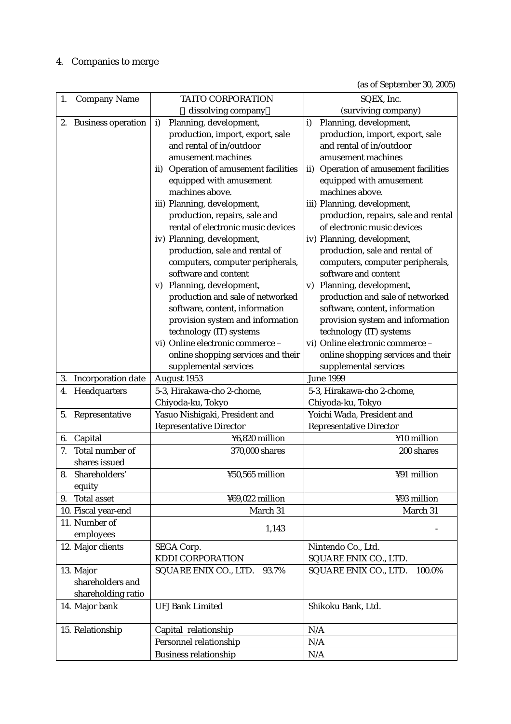# 4. Companies to merge

(as of September 30, 2005)

| 1. | <b>Company Name</b>       | TAITO CORPORATION                        | SQEX, Inc.                               |  |  |  |
|----|---------------------------|------------------------------------------|------------------------------------------|--|--|--|
|    |                           | dissolving company                       | (surviving company)                      |  |  |  |
| 2. | <b>Business operation</b> | Planning, development,<br>i)             | Planning, development,<br>i)             |  |  |  |
|    |                           | production, import, export, sale         | production, import, export, sale         |  |  |  |
|    |                           | and rental of in/outdoor                 | and rental of in/outdoor                 |  |  |  |
|    |                           | amusement machines                       | amusement machines                       |  |  |  |
|    |                           | Operation of amusement facilities<br>ii) | Operation of amusement facilities<br>ii) |  |  |  |
|    |                           | equipped with amusement                  | equipped with amusement                  |  |  |  |
|    |                           | machines above.                          | machines above.                          |  |  |  |
|    |                           | iii) Planning, development,              | iii) Planning, development,              |  |  |  |
|    |                           | production, repairs, sale and            | production, repairs, sale and rental     |  |  |  |
|    |                           | rental of electronic music devices       | of electronic music devices              |  |  |  |
|    |                           | iv) Planning, development,               | iv) Planning, development,               |  |  |  |
|    |                           | production, sale and rental of           | production, sale and rental of           |  |  |  |
|    |                           | computers, computer peripherals,         | computers, computer peripherals,         |  |  |  |
|    |                           | software and content                     | software and content                     |  |  |  |
|    |                           | Planning, development,<br>V)             | Planning, development,<br>V)             |  |  |  |
|    |                           | production and sale of networked         | production and sale of networked         |  |  |  |
|    |                           | software, content, information           | software, content, information           |  |  |  |
|    |                           | provision system and information         | provision system and information         |  |  |  |
|    |                           | technology (IT) systems                  | technology (IT) systems                  |  |  |  |
|    |                           | vi) Online electronic commerce -         | vi) Online electronic commerce -         |  |  |  |
|    |                           | online shopping services and their       | online shopping services and their       |  |  |  |
|    |                           | supplemental services                    | supplemental services                    |  |  |  |
| 3. | Incorporation date        | August 1953                              | <b>June 1999</b>                         |  |  |  |
| 4. | Headquarters              | 5-3, Hirakawa-cho 2-chome,               | 5-3, Hirakawa-cho 2-chome,               |  |  |  |
|    |                           | Chiyoda-ku, Tokyo                        | Chiyoda-ku, Tokyo                        |  |  |  |
| 5. | Representative            | Yasuo Nishigaki, President and           | Yoichi Wada, President and               |  |  |  |
|    |                           | <b>Representative Director</b>           | <b>Representative Director</b>           |  |  |  |
|    | 6. Capital                | ¥6,820 million                           | ¥10 million                              |  |  |  |
| 7. | Total number of           | 370,000 shares                           | 200 shares                               |  |  |  |
|    | shares issued             |                                          |                                          |  |  |  |
| 8. | Shareholders'             | ¥50,565 million                          | ¥91 million                              |  |  |  |
|    | equity                    |                                          |                                          |  |  |  |
| 9. | <b>Total asset</b>        | ¥69,022 million                          | ¥93 million                              |  |  |  |
|    | 10. Fiscal year-end       | March 31                                 | March 31                                 |  |  |  |
|    | 11. Number of             |                                          |                                          |  |  |  |
|    | employees                 | 1,143                                    |                                          |  |  |  |
|    | 12. Major clients         | SEGA Corp.                               | Nintendo Co., Ltd.                       |  |  |  |
|    |                           | KDDI CORPORATION                         | SQUARE ENIX CO., LTD.                    |  |  |  |
|    | 13. Major                 | SQUARE ENIX CO., LTD.<br>93.7%           | SQUARE ENIX CO., LTD.<br>100.0%          |  |  |  |
|    | shareholders and          |                                          |                                          |  |  |  |
|    | shareholding ratio        |                                          |                                          |  |  |  |
|    | 14. Major bank            | <b>UFJ Bank Limited</b>                  | Shikoku Bank, Ltd.                       |  |  |  |
|    |                           |                                          |                                          |  |  |  |
|    | 15. Relationship          | Capital relationship                     | N/A                                      |  |  |  |
|    |                           | Personnel relationship                   | N/A                                      |  |  |  |
|    |                           | <b>Business relationship</b>             | N/A                                      |  |  |  |